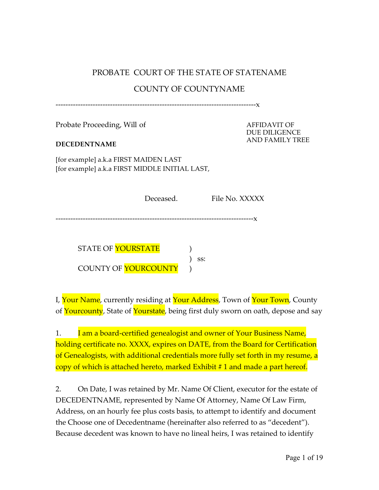# PROBATE COURT OF THE STATE OF STATENAME

#### COUNTY OF COUNTYNAME

---------------------------------------------------------------------------------x

Probate Proceeding, Will of

#### **DECEDENTNAME**

AFFIDAVIT OF DUE DILIGENCE AND FAMILY TREE

[for example] a.k.a FIRST MAIDEN LAST [for example] a.k.a FIRST MIDDLE INITIAL LAST,

| Deceased. | File No. XXXXX |  |
|-----------|----------------|--|
|           |                |  |

--------------------------------------------------------------------------------x

STATE OF YOURSTATE COUNTY OF **YOURCOUNTY** )

I, Your Name, currently residing at Your Address, Town of Your Town, County of Yourcounty, State of Yourstate, being first duly sworn on oath, depose and say

) ss:

1. I am a board-certified genealogist and owner of Your Business Name, holding certificate no. XXXX, expires on DATE, from the Board for Certification of Genealogists, with additional credentials more fully set forth in my resume, a copy of which is attached hereto, marked Exhibit # 1 and made a part hereof.

2. On Date, I was retained by Mr. Name Of Client, executor for the estate of DECEDENTNAME, represented by Name Of Attorney, Name Of Law Firm, Address, on an hourly fee plus costs basis, to attempt to identify and document the Choose one of Decedentname (hereinafter also referred to as "decedent"). Because decedent was known to have no lineal heirs, I was retained to identify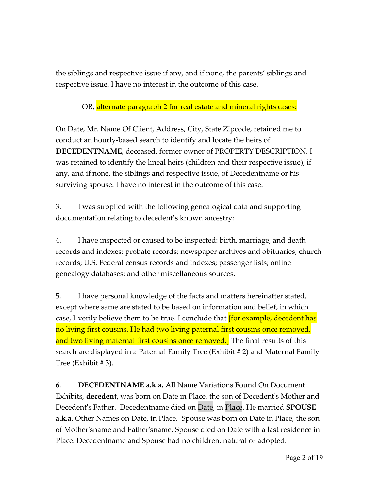the siblings and respective issue if any, and if none, the parents' siblings and respective issue. I have no interest in the outcome of this case.

### OR, alternate paragraph 2 for real estate and mineral rights cases:

On Date, Mr. Name Of Client, Address, City, State Zipcode, retained me to conduct an hourly-based search to identify and locate the heirs of **DECEDENTNAME**, deceased, former owner of PROPERTY DESCRIPTION. I was retained to identify the lineal heirs (children and their respective issue), if any, and if none, the siblings and respective issue, of Decedentname or his surviving spouse. I have no interest in the outcome of this case.

3. I was supplied with the following genealogical data and supporting documentation relating to decedent's known ancestry:

4. I have inspected or caused to be inspected: birth, marriage, and death records and indexes; probate records; newspaper archives and obituaries; church records; U.S. Federal census records and indexes; passenger lists; online genealogy databases; and other miscellaneous sources.

5. I have personal knowledge of the facts and matters hereinafter stated, except where same are stated to be based on information and belief, in which case, I verily believe them to be true. I conclude that *[for example, decedent has* no living first cousins. He had two living paternal first cousins once removed, and two living maternal first cousins once removed.] The final results of this search are displayed in a Paternal Family Tree (Exhibit # 2) and Maternal Family Tree (Exhibit # 3).

6. **DECEDENTNAME a.k.a.** All Name Variations Found On Document Exhibits, **decedent,** was born on Date in Place, the son of Decedent's Mother and Decedent's Father. Decedentname died on Date, in Place. He married **SPOUSE a.k.a**. Other Names on Date, in Place. Spouse was born on Date in Place, the son of Mother'sname and Father'sname. Spouse died on Date with a last residence in Place. Decedentname and Spouse had no children, natural or adopted.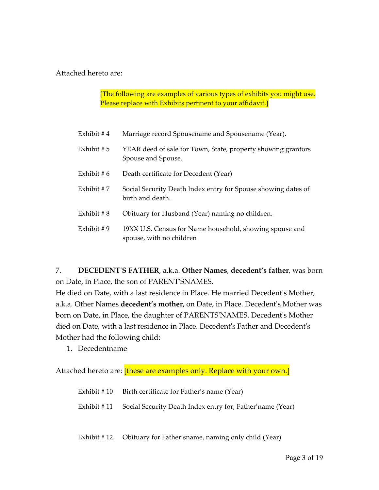Attached hereto are:

[The following are examples of various types of exhibits you might use. Please replace with Exhibits pertinent to your affidavit.]

| Exhibit # $4$ | Marriage record Spousename and Spousename (Year).                                   |
|---------------|-------------------------------------------------------------------------------------|
| Exhibit # $5$ | YEAR deed of sale for Town, State, property showing grantors<br>Spouse and Spouse.  |
| Exhibit # $6$ | Death certificate for Decedent (Year)                                               |
| Exhibit # $7$ | Social Security Death Index entry for Spouse showing dates of<br>birth and death.   |
| Exhibit $\#8$ | Obituary for Husband (Year) naming no children.                                     |
| Exhibit $# 9$ | 19XX U.S. Census for Name household, showing spouse and<br>spouse, with no children |

7. **DECEDENT'S FATHER**, a.k.a. **Other Names**, **decedent's father**, was born on Date, in Place, the son of PARENT'SNAMES.

He died on Date, with a last residence in Place. He married Decedent's Mother, a.k.a. Other Names **decedent's mother,** on Date, in Place. Decedent's Mother was born on Date, in Place, the daughter of PARENTS'NAMES. Decedent's Mother died on Date, with a last residence in Place. Decedent's Father and Decedent's Mother had the following child:

1. Decedentname

Attached hereto are: *[these are examples only. Replace with your own.]* 

| Exhibit # 10 Birth certificate for Father's name (Year)               |
|-----------------------------------------------------------------------|
| Exhibit #11 Social Security Death Index entry for, Father'name (Year) |

Exhibit # 12 Obituary for Father'sname, naming only child (Year)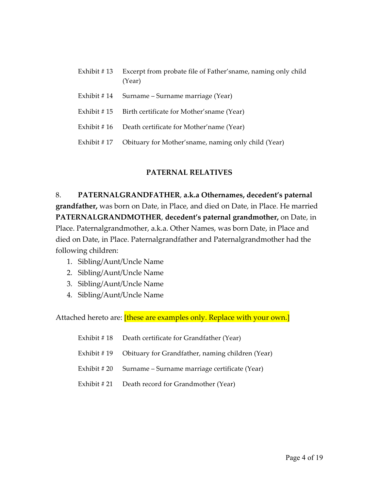| Exhibit #13  | Excerpt from probate file of Father's name, naming only child<br>(Year) |
|--------------|-------------------------------------------------------------------------|
| Exhibit #14  | Surname – Surname marriage (Year)                                       |
| Exhibit #15  | Birth certificate for Mother's name (Year)                              |
| Exhibit #16  | Death certificate for Mother' name (Year)                               |
| Exhibit # 17 | Obituary for Mother's name, naming only child (Year)                    |

#### **PATERNAL RELATIVES**

# 8. **PATERNALGRANDFATHER**, **a.k.a Othernames, decedent's paternal grandfather,** was born on Date, in Place, and died on Date, in Place. He married **PATERNALGRANDMOTHER**, **decedent's paternal grandmother,** on Date, in Place. Paternalgrandmother, a.k.a. Other Names, was born Date, in Place and died on Date, in Place. Paternalgrandfather and Paternalgrandmother had the following children:

- 1. Sibling/Aunt/Uncle Name
- 2. Sibling/Aunt/Uncle Name
- 3. Sibling/Aunt/Uncle Name
- 4. Sibling/Aunt/Uncle Name

Attached hereto are: *[these are examples only. Replace with your own.]* 

| Exhibit #18 Death certificate for Grandfather (Year)         |
|--------------------------------------------------------------|
| Exhibit #19 Obituary for Grandfather, naming children (Year) |
| Exhibit # 20 Surname – Surname marriage certificate (Year)   |
| Exhibit #21 Death record for Grandmother (Year)              |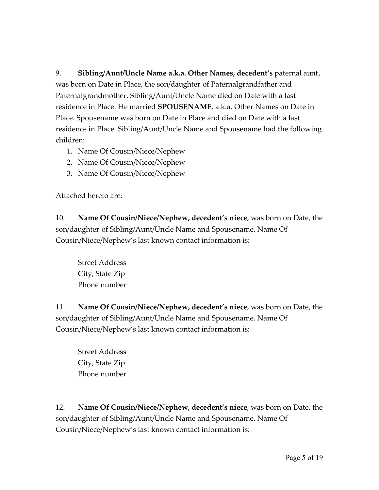9. **Sibling/Aunt/Uncle Name a.k.a. Other Names, decedent's** paternal aunt, was born on Date in Place, the son/daughter of Paternalgrandfather and Paternalgrandmother. Sibling/Aunt/Uncle Name died on Date with a last residence in Place. He married **SPOUSENAME**, a.k.a. Other Names on Date in Place. Spousename was born on Date in Place and died on Date with a last residence in Place. Sibling/Aunt/Uncle Name and Spousename had the following children:

- 1. Name Of Cousin/Niece/Nephew
- 2. Name Of Cousin/Niece/Nephew
- 3. Name Of Cousin/Niece/Nephew

Attached hereto are:

10. **Name Of Cousin/Niece/Nephew, decedent's niece**, was born on Date, the son/daughter of Sibling/Aunt/Uncle Name and Spousename. Name Of Cousin/Niece/Nephew's last known contact information is:

Street Address City, State Zip Phone number

11. **Name Of Cousin/Niece/Nephew, decedent's niece**, was born on Date, the son/daughter of Sibling/Aunt/Uncle Name and Spousename. Name Of Cousin/Niece/Nephew's last known contact information is:

Street Address City, State Zip Phone number

12. **Name Of Cousin/Niece/Nephew, decedent's niece**, was born on Date, the son/daughter of Sibling/Aunt/Uncle Name and Spousename. Name Of Cousin/Niece/Nephew's last known contact information is: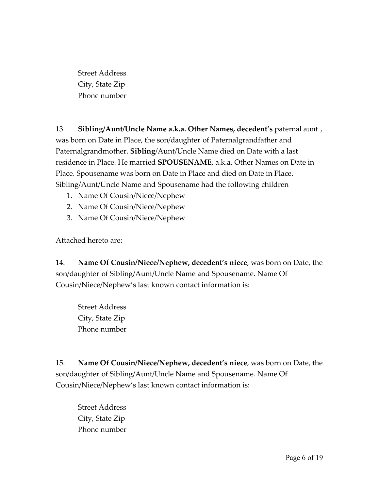Street Address City, State Zip Phone number

13. **Sibling/Aunt/Uncle Name a.k.a. Other Names, decedent's** paternal aunt , was born on Date in Place, the son/daughter of Paternalgrandfather and Paternalgrandmother. **Sibling**/Aunt/Uncle Name died on Date with a last residence in Place. He married **SPOUSENAME**, a.k.a. Other Names on Date in Place. Spousename was born on Date in Place and died on Date in Place. Sibling/Aunt/Uncle Name and Spousename had the following children

- 1. Name Of Cousin/Niece/Nephew
- 2. Name Of Cousin/Niece/Nephew
- 3. Name Of Cousin/Niece/Nephew

Attached hereto are:

14. **Name Of Cousin/Niece/Nephew, decedent's niece**, was born on Date, the son/daughter of Sibling/Aunt/Uncle Name and Spousename. Name Of Cousin/Niece/Nephew's last known contact information is:

Street Address City, State Zip Phone number

15. **Name Of Cousin/Niece/Nephew, decedent's niece**, was born on Date, the son/daughter of Sibling/Aunt/Uncle Name and Spousename. Name Of Cousin/Niece/Nephew's last known contact information is:

Street Address City, State Zip Phone number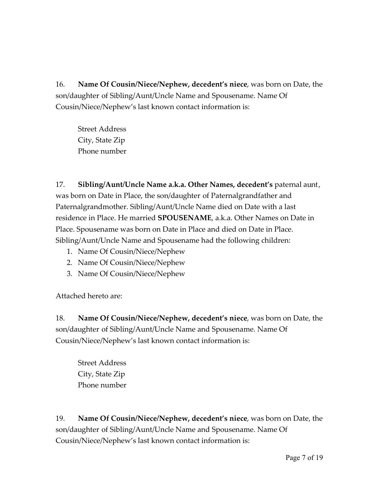Street Address City, State Zip Phone number

17. **Sibling/Aunt/Uncle Name a.k.a. Other Names, decedent's** paternal aunt, was born on Date in Place, the son/daughter of Paternalgrandfather and Paternalgrandmother. Sibling/Aunt/Uncle Name died on Date with a last residence in Place. He married **SPOUSENAME**, a.k.a. Other Names on Date in Place. Spousename was born on Date in Place and died on Date in Place. Sibling/Aunt/Uncle Name and Spousename had the following children:

- 1. Name Of Cousin/Niece/Nephew
- 2. Name Of Cousin/Niece/Nephew
- 3. Name Of Cousin/Niece/Nephew

Attached hereto are:

18. **Name Of Cousin/Niece/Nephew, decedent's niece**, was born on Date, the son/daughter of Sibling/Aunt/Uncle Name and Spousename. Name Of Cousin/Niece/Nephew's last known contact information is:

Street Address City, State Zip Phone number

19. **Name Of Cousin/Niece/Nephew, decedent's niece**, was born on Date, the son/daughter of Sibling/Aunt/Uncle Name and Spousename. Name Of Cousin/Niece/Nephew's last known contact information is: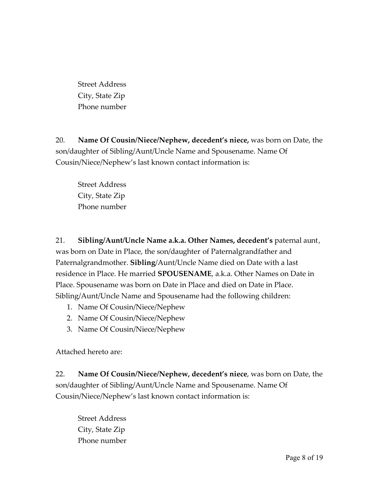Street Address City, State Zip Phone number

20. **Name Of Cousin/Niece/Nephew, decedent's niece,** was born on Date, the son/daughter of Sibling/Aunt/Uncle Name and Spousename. Name Of Cousin/Niece/Nephew's last known contact information is:

Street Address City, State Zip Phone number

21. **Sibling/Aunt/Uncle Name a.k.a. Other Names, decedent's** paternal aunt, was born on Date in Place, the son/daughter of Paternalgrandfather and Paternalgrandmother. **Sibling**/Aunt/Uncle Name died on Date with a last residence in Place. He married **SPOUSENAME**, a.k.a. Other Names on Date in Place. Spousename was born on Date in Place and died on Date in Place. Sibling/Aunt/Uncle Name and Spousename had the following children:

- 1. Name Of Cousin/Niece/Nephew
- 2. Name Of Cousin/Niece/Nephew
- 3. Name Of Cousin/Niece/Nephew

Attached hereto are:

22. **Name Of Cousin/Niece/Nephew, decedent's niece**, was born on Date, the son/daughter of Sibling/Aunt/Uncle Name and Spousename. Name Of Cousin/Niece/Nephew's last known contact information is:

Street Address City, State Zip Phone number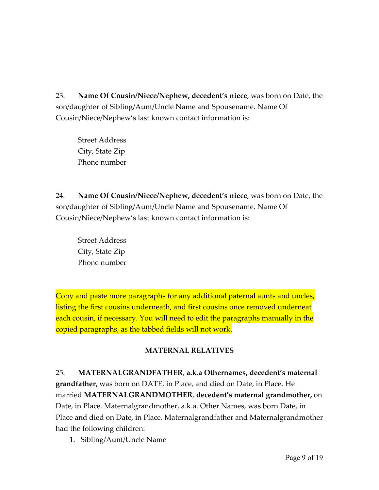Street Address City, State Zip Phone number

24. **Name Of Cousin/Niece/Nephew, decedent's niece**, was born on Date, the son/daughter of Sibling/Aunt/Uncle Name and Spousename. Name Of Cousin/Niece/Nephew's last known contact information is:

Street Address City, State Zip Phone number

Copy and paste more paragraphs for any additional paternal aunts and uncles, listing the first cousins underneath, and first cousins once removed underneat each cousin, if necessary. You will need to edit the paragraphs manually in the copied paragraphs, as the tabbed fields will not work.

### **MATERNAL RELATIVES**

25. **MATERNALGRANDFATHER**, **a.k.a Othernames, decedent's maternal grandfather,** was born on DATE, in Place, and died on Date, in Place. He married **MATERNALGRANDMOTHER**, **decedent's maternal grandmother,** on Date, in Place. Maternalgrandmother, a.k.a. Other Names, was born Date, in Place and died on Date, in Place. Maternalgrandfather and Maternalgrandmother had the following children:

1. Sibling/Aunt/Uncle Name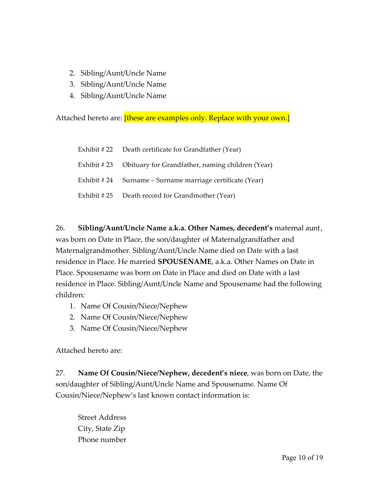- 2. Sibling/Aunt/Uncle Name
- 3. Sibling/Aunt/Uncle Name
- 4. Sibling/Aunt/Uncle Name

Attached hereto are: [these are examples only. Replace with your own.]

| Exhibit #22 Death certificate for Grandfather (Year)         |
|--------------------------------------------------------------|
| Exhibit #23 Obituary for Grandfather, naming children (Year) |
| Exhibit #24 Surname – Surname marriage certificate (Year)    |
| Exhibit #25 Death record for Grandmother (Year)              |

26. **Sibling/Aunt/Uncle Name a.k.a. Other Names, decedent's** maternal aunt, was born on Date in Place, the son/daughter of Maternalgrandfather and Maternalgrandmother. Sibling/Aunt/Uncle Name died on Date with a last residence in Place. He married **SPOUSENAME**, a.k.a. Other Names on Date in Place. Spousename was born on Date in Place and died on Date with a last residence in Place. Sibling/Aunt/Uncle Name and Spousename had the following children:

- 1. Name Of Cousin/Niece/Nephew
- 2. Name Of Cousin/Niece/Nephew
- 3. Name Of Cousin/Niece/Nephew

Attached hereto are:

27. **Name Of Cousin/Niece/Nephew, decedent's niece**, was born on Date, the son/daughter of Sibling/Aunt/Uncle Name and Spousename. Name Of Cousin/Niece/Nephew's last known contact information is:

Street Address City, State Zip Phone number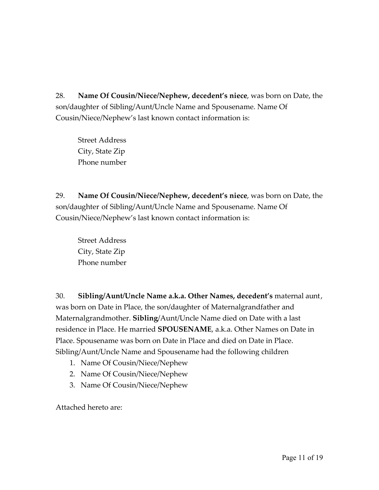Street Address City, State Zip Phone number

29. **Name Of Cousin/Niece/Nephew, decedent's niece**, was born on Date, the son/daughter of Sibling/Aunt/Uncle Name and Spousename. Name Of Cousin/Niece/Nephew's last known contact information is:

Street Address City, State Zip Phone number

30. **Sibling/Aunt/Uncle Name a.k.a. Other Names, decedent's** maternal aunt, was born on Date in Place, the son/daughter of Maternalgrandfather and Maternalgrandmother. **Sibling**/Aunt/Uncle Name died on Date with a last residence in Place. He married **SPOUSENAME**, a.k.a. Other Names on Date in Place. Spousename was born on Date in Place and died on Date in Place. Sibling/Aunt/Uncle Name and Spousename had the following children

- 1. Name Of Cousin/Niece/Nephew
- 2. Name Of Cousin/Niece/Nephew
- 3. Name Of Cousin/Niece/Nephew

Attached hereto are: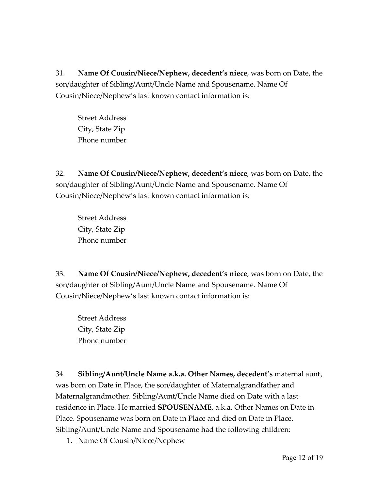Street Address City, State Zip Phone number

32. **Name Of Cousin/Niece/Nephew, decedent's niece**, was born on Date, the son/daughter of Sibling/Aunt/Uncle Name and Spousename. Name Of Cousin/Niece/Nephew's last known contact information is:

Street Address City, State Zip Phone number

33. **Name Of Cousin/Niece/Nephew, decedent's niece**, was born on Date, the son/daughter of Sibling/Aunt/Uncle Name and Spousename. Name Of Cousin/Niece/Nephew's last known contact information is:

Street Address City, State Zip Phone number

34. **Sibling/Aunt/Uncle Name a.k.a. Other Names, decedent's** maternal aunt, was born on Date in Place, the son/daughter of Maternalgrandfather and Maternalgrandmother. Sibling/Aunt/Uncle Name died on Date with a last residence in Place. He married **SPOUSENAME**, a.k.a. Other Names on Date in Place. Spousename was born on Date in Place and died on Date in Place. Sibling/Aunt/Uncle Name and Spousename had the following children:

1. Name Of Cousin/Niece/Nephew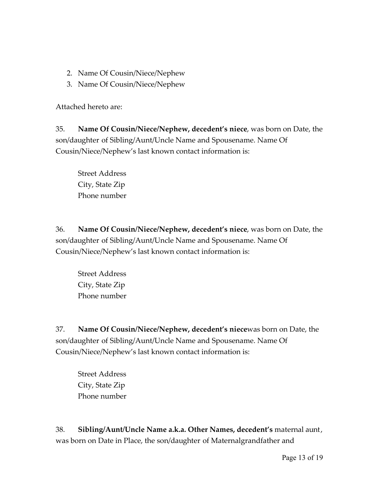- 2. Name Of Cousin/Niece/Nephew
- 3. Name Of Cousin/Niece/Nephew

Attached hereto are:

35. **Name Of Cousin/Niece/Nephew, decedent's niece**, was born on Date, the son/daughter of Sibling/Aunt/Uncle Name and Spousename. Name Of Cousin/Niece/Nephew's last known contact information is:

Street Address City, State Zip Phone number

36. **Name Of Cousin/Niece/Nephew, decedent's niece**, was born on Date, the son/daughter of Sibling/Aunt/Uncle Name and Spousename. Name Of Cousin/Niece/Nephew's last known contact information is:

Street Address City, State Zip Phone number

37. **Name Of Cousin/Niece/Nephew, decedent's niece**was born on Date, the son/daughter of Sibling/Aunt/Uncle Name and Spousename. Name Of Cousin/Niece/Nephew's last known contact information is:

Street Address City, State Zip Phone number

38. **Sibling/Aunt/Uncle Name a.k.a. Other Names, decedent's** maternal aunt, was born on Date in Place, the son/daughter of Maternalgrandfather and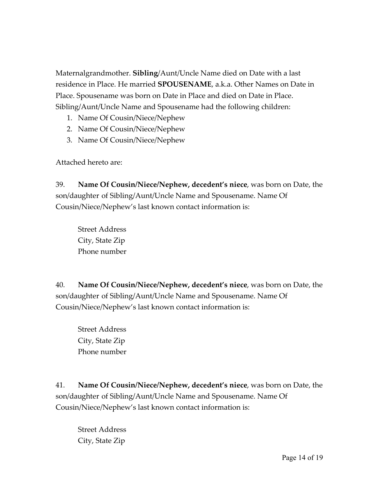Maternalgrandmother. **Sibling**/Aunt/Uncle Name died on Date with a last residence in Place. He married **SPOUSENAME**, a.k.a. Other Names on Date in Place. Spousename was born on Date in Place and died on Date in Place. Sibling/Aunt/Uncle Name and Spousename had the following children:

- 1. Name Of Cousin/Niece/Nephew
- 2. Name Of Cousin/Niece/Nephew
- 3. Name Of Cousin/Niece/Nephew

Attached hereto are:

39. **Name Of Cousin/Niece/Nephew, decedent's niece**, was born on Date, the son/daughter of Sibling/Aunt/Uncle Name and Spousename. Name Of Cousin/Niece/Nephew's last known contact information is:

Street Address City, State Zip Phone number

40. **Name Of Cousin/Niece/Nephew, decedent's niece**, was born on Date, the son/daughter of Sibling/Aunt/Uncle Name and Spousename. Name Of Cousin/Niece/Nephew's last known contact information is:

Street Address City, State Zip Phone number

41. **Name Of Cousin/Niece/Nephew, decedent's niece**, was born on Date, the son/daughter of Sibling/Aunt/Uncle Name and Spousename. Name Of Cousin/Niece/Nephew's last known contact information is:

Street Address City, State Zip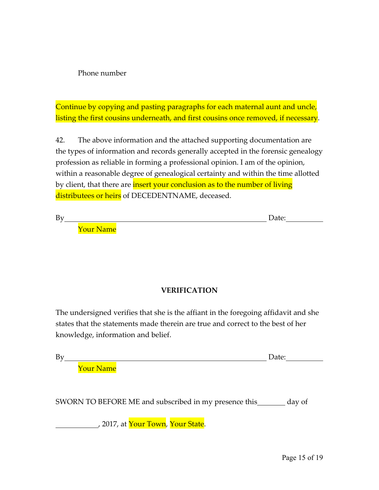Phone number

Continue by copying and pasting paragraphs for each maternal aunt and uncle, listing the first cousins underneath, and first cousins once removed, if necessary.

42. The above information and the attached supporting documentation are the types of information and records generally accepted in the forensic genealogy profession as reliable in forming a professional opinion. I am of the opinion, within a reasonable degree of genealogical certainty and within the time allotted by client, that there are **insert your conclusion as to the number of living** distributees or heirs of DECEDENTNAME, deceased.

By Date:

Your Name

### **VERIFICATION**

The undersigned verifies that she is the affiant in the foregoing affidavit and she states that the statements made therein are true and correct to the best of her knowledge, information and belief.

| <b>.</b> |  |  |
|----------|--|--|
|          |  |  |

Your Name

SWORN TO BEFORE ME and subscribed in my presence this day of

, 2017, at <mark>Your Town</mark>, Your State.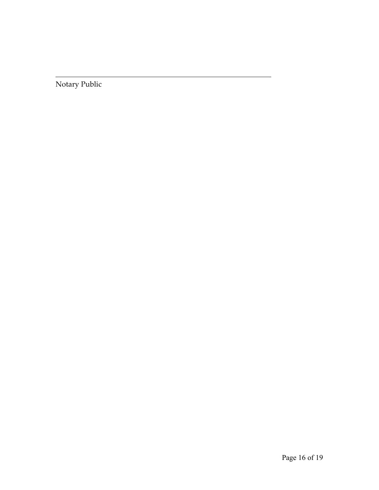Notary Public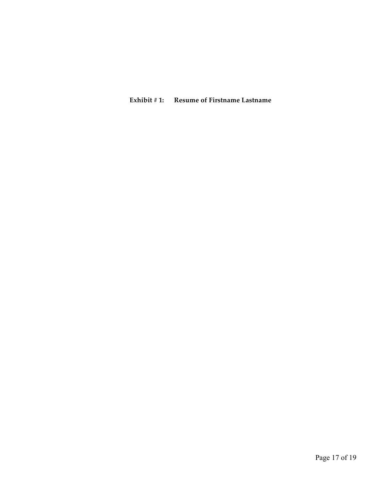#### **Exhibit # 1: Resume of Firstname Lastname**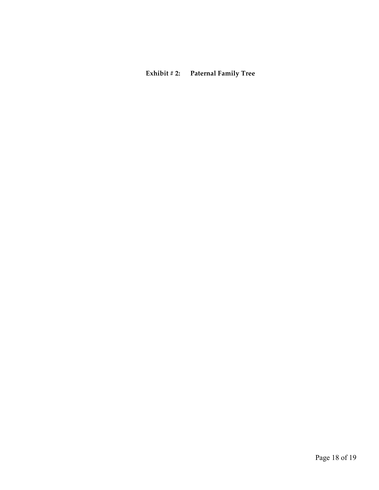## **Exhibit # 2: Paternal Family Tree**